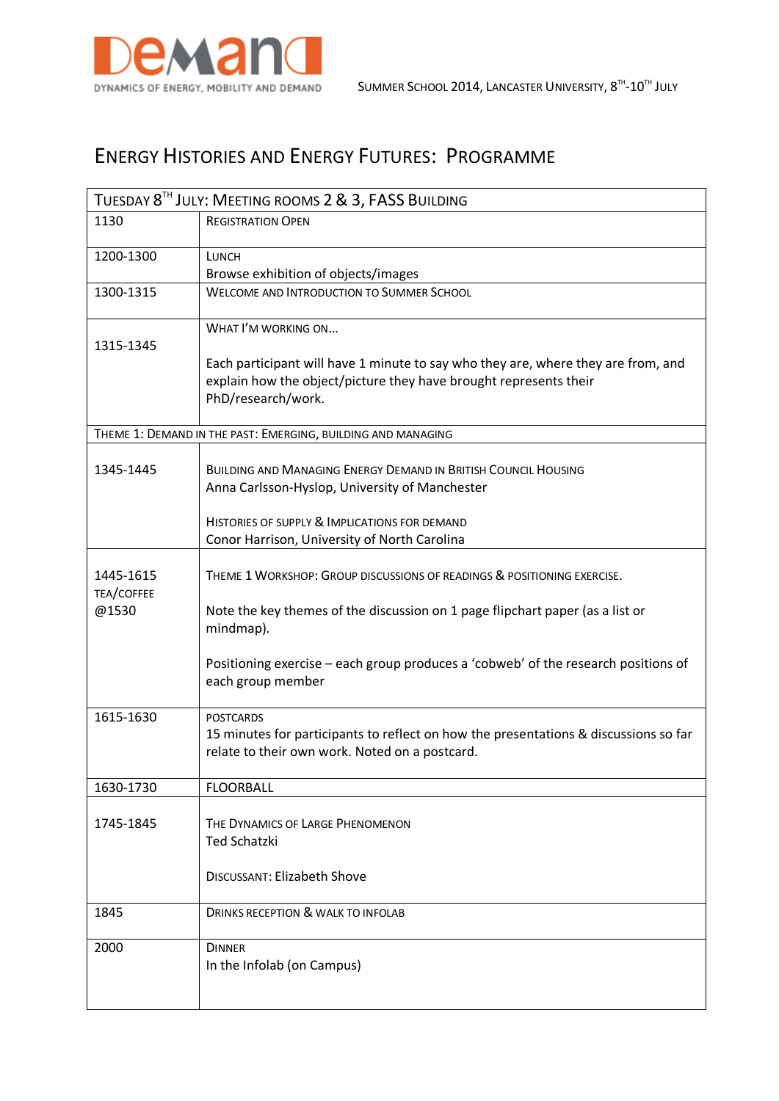

## ENERGY HISTORIES AND ENERGY FUTURES: PROGRAMME

| TUESDAY 8TH JULY: MEETING ROOMS 2 & 3, FASS BUILDING         |                                                                                                                                                                              |  |
|--------------------------------------------------------------|------------------------------------------------------------------------------------------------------------------------------------------------------------------------------|--|
| 1130                                                         | <b>REGISTRATION OPEN</b>                                                                                                                                                     |  |
| 1200-1300                                                    | <b>LUNCH</b>                                                                                                                                                                 |  |
|                                                              | Browse exhibition of objects/images                                                                                                                                          |  |
| 1300-1315                                                    | <b>WELCOME AND INTRODUCTION TO SUMMER SCHOOL</b>                                                                                                                             |  |
| 1315-1345                                                    | WHAT I'M WORKING ON                                                                                                                                                          |  |
|                                                              | Each participant will have 1 minute to say who they are, where they are from, and<br>explain how the object/picture they have brought represents their<br>PhD/research/work. |  |
| THEME 1: DEMAND IN THE PAST: EMERGING, BUILDING AND MANAGING |                                                                                                                                                                              |  |
|                                                              |                                                                                                                                                                              |  |
| 1345-1445                                                    | <b>BUILDING AND MANAGING ENERGY DEMAND IN BRITISH COUNCIL HOUSING</b><br>Anna Carlsson-Hyslop, University of Manchester                                                      |  |
|                                                              | HISTORIES OF SUPPLY & IMPLICATIONS FOR DEMAND                                                                                                                                |  |
|                                                              | Conor Harrison, University of North Carolina                                                                                                                                 |  |
| 1445-1615<br>TEA/COFFEE                                      | THEME 1 WORKSHOP: GROUP DISCUSSIONS OF READINGS & POSITIONING EXERCISE.                                                                                                      |  |
| @1530                                                        | Note the key themes of the discussion on 1 page flipchart paper (as a list or<br>mindmap).                                                                                   |  |
|                                                              | Positioning exercise – each group produces a 'cobweb' of the research positions of<br>each group member                                                                      |  |
| 1615-1630                                                    | <b>POSTCARDS</b><br>15 minutes for participants to reflect on how the presentations & discussions so far<br>relate to their own work. Noted on a postcard.                   |  |
| 1630-1730                                                    | <b>FLOORBALL</b>                                                                                                                                                             |  |
| 1745-1845                                                    | THE DYNAMICS OF LARGE PHENOMENON<br><b>Ted Schatzki</b>                                                                                                                      |  |
|                                                              | <b>DISCUSSANT: Elizabeth Shove</b>                                                                                                                                           |  |
| 1845                                                         | DRINKS RECEPTION & WALK TO INFOLAB                                                                                                                                           |  |
| 2000                                                         | <b>DINNER</b><br>In the Infolab (on Campus)                                                                                                                                  |  |